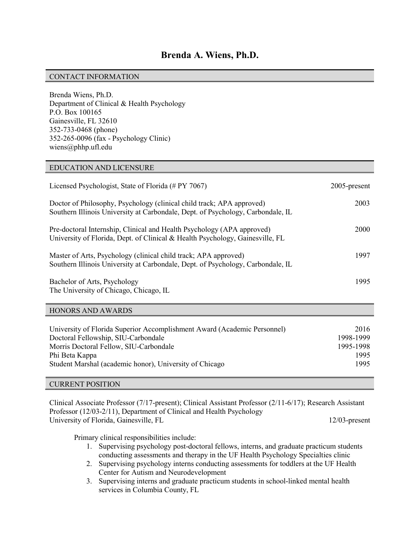## CONTACT INFORMATION

Brenda Wiens, Ph.D. Department of Clinical & Health Psychology P.O. Box 100165 Gainesville, FL 32610 352-733-0468 (phone) 352-265-0096 (fax - Psychology Clinic) wiens@phhp.ufl.edu

## EDUCATION AND LICENSURE

| Licensed Psychologist, State of Florida (# PY 7067)                                                                                                      | $2005$ -present |
|----------------------------------------------------------------------------------------------------------------------------------------------------------|-----------------|
| Doctor of Philosophy, Psychology (clinical child track; APA approved)<br>Southern Illinois University at Carbondale, Dept. of Psychology, Carbondale, IL | 2003            |
| Pre-doctoral Internship, Clinical and Health Psychology (APA approved)<br>University of Florida, Dept. of Clinical & Health Psychology, Gainesville, FL  | 2000            |
| Master of Arts, Psychology (clinical child track; APA approved)<br>Southern Illinois University at Carbondale, Dept. of Psychology, Carbondale, IL       | 1997            |
| Bachelor of Arts, Psychology<br>The University of Chicago, Chicago, IL                                                                                   | 1995            |

## HONORS AND AWARDS

| 2016<br>1998-1999<br>1995-1998<br>1995 |
|----------------------------------------|
| 1995                                   |
|                                        |

## CURRENT POSITION

Clinical Associate Professor (7/17-present); Clinical Assistant Professor (2/11-6/17); Research Assistant Professor (12/03-2/11), Department of Clinical and Health Psychology University of Florida, Gainesville, FL 12/03-present

Primary clinical responsibilities include:

- 1. Supervising psychology post-doctoral fellows, interns, and graduate practicum students conducting assessments and therapy in the UF Health Psychology Specialties clinic
- 2. Supervising psychology interns conducting assessments for toddlers at the UF Health Center for Autism and Neurodevelopment
- 3. Supervising interns and graduate practicum students in school-linked mental health services in Columbia County, FL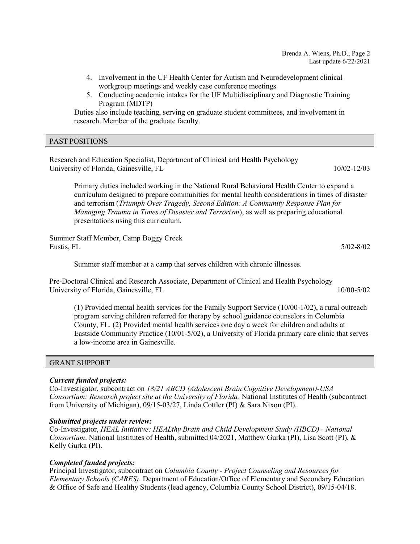- 4. Involvement in the UF Health Center for Autism and Neurodevelopment clinical workgroup meetings and weekly case conference meetings
- 5. Conducting academic intakes for the UF Multidisciplinary and Diagnostic Training Program (MDTP)

Duties also include teaching, serving on graduate student committees, and involvement in research. Member of the graduate faculty.

## PAST POSITIONS

Research and Education Specialist, Department of Clinical and Health Psychology University of Florida, Gainesville, FL 10/02-12/03

Primary duties included working in the National Rural Behavioral Health Center to expand a curriculum designed to prepare communities for mental health considerations in times of disaster and terrorism (Triumph Over Tragedy, Second Edition: A Community Response Plan for Managing Trauma in Times of Disaster and Terrorism), as well as preparing educational presentations using this curriculum.

Summer Staff Member, Camp Boggy Creek Eustis, FL 5/02-8/02

Summer staff member at a camp that serves children with chronic illnesses.

Pre-Doctoral Clinical and Research Associate, Department of Clinical and Health Psychology University of Florida, Gainesville, FL 10/00-5/02

(1) Provided mental health services for the Family Support Service (10/00-1/02), a rural outreach program serving children referred for therapy by school guidance counselors in Columbia County, FL. (2) Provided mental health services one day a week for children and adults at Eastside Community Practice (10/01-5/02), a University of Florida primary care clinic that serves a low-income area in Gainesville.

# GRANT SUPPORT

# Current funded projects:

Co-Investigator, subcontract on 18/21 ABCD (Adolescent Brain Cognitive Development)-USA Consortium: Research project site at the University of Florida. National Institutes of Health (subcontract from University of Michigan), 09/15-03/27, Linda Cottler (PI) & Sara Nixon (PI).

## Submitted projects under review:

Co-Investigator, HEAL Initiative: HEALthy Brain and Child Development Study (HBCD) - National Consortium. National Institutes of Health, submitted 04/2021, Matthew Gurka (PI), Lisa Scott (PI), & Kelly Gurka (PI).

# Completed funded projects:

Principal Investigator, subcontract on Columbia County - Project Counseling and Resources for Elementary Schools (CARES). Department of Education/Office of Elementary and Secondary Education & Office of Safe and Healthy Students (lead agency, Columbia County School District), 09/15-04/18.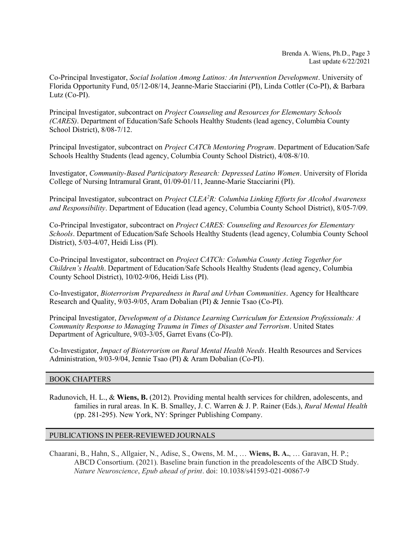Co-Principal Investigator, Social Isolation Among Latinos: An Intervention Development. University of Florida Opportunity Fund, 05/12-08/14, Jeanne-Marie Stacciarini (PI), Linda Cottler (Co-PI), & Barbara Lutz (Co-PI).

Principal Investigator, subcontract on Project Counseling and Resources for Elementary Schools (CARES). Department of Education/Safe Schools Healthy Students (lead agency, Columbia County School District), 8/08-7/12.

Principal Investigator, subcontract on Project CATCh Mentoring Program. Department of Education/Safe Schools Healthy Students (lead agency, Columbia County School District), 4/08-8/10.

Investigator, Community-Based Participatory Research: Depressed Latino Women. University of Florida College of Nursing Intramural Grant, 01/09-01/11, Jeanne-Marie Stacciarini (PI).

Principal Investigator, subcontract on *Project CLEA<sup>2</sup>R: Columbia Linking Efforts for Alcohol Awareness* and Responsibility. Department of Education (lead agency, Columbia County School District), 8/05-7/09.

Co-Principal Investigator, subcontract on Project CARES: Counseling and Resources for Elementary Schools. Department of Education/Safe Schools Healthy Students (lead agency, Columbia County School District), 5/03-4/07, Heidi Liss (PI).

Co-Principal Investigator, subcontract on Project CATCh: Columbia County Acting Together for Children's Health. Department of Education/Safe Schools Healthy Students (lead agency, Columbia County School District), 10/02-9/06, Heidi Liss (PI).

Co-Investigator, Bioterrorism Preparedness in Rural and Urban Communities. Agency for Healthcare Research and Quality, 9/03-9/05, Aram Dobalian (PI) & Jennie Tsao (Co-PI).

Principal Investigator, Development of a Distance Learning Curriculum for Extension Professionals: A Community Response to Managing Trauma in Times of Disaster and Terrorism. United States Department of Agriculture, 9/03-3/05, Garret Evans (Co-PI).

Co-Investigator, Impact of Bioterrorism on Rural Mental Health Needs. Health Resources and Services Administration, 9/03-9/04, Jennie Tsao (PI) & Aram Dobalian (Co-PI).

## BOOK CHAPTERS

Radunovich, H. L., & Wiens, B. (2012). Providing mental health services for children, adolescents, and families in rural areas. In K. B. Smalley, J. C. Warren & J. P. Rainer (Eds.), Rural Mental Health (pp. 281-295). New York, NY: Springer Publishing Company.

## PUBLICATIONS IN PEER-REVIEWED JOURNALS

Chaarani, B., Hahn, S., Allgaier, N., Adise, S., Owens, M. M., … Wiens, B. A., … Garavan, H. P.; ABCD Consortium. (2021). Baseline brain function in the preadolescents of the ABCD Study. Nature Neuroscience, Epub ahead of print. doi: 10.1038/s41593-021-00867-9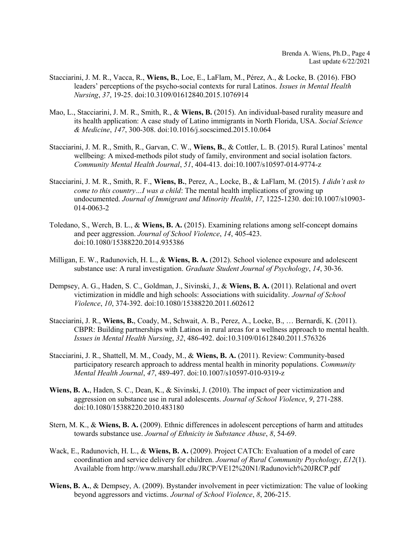- Stacciarini, J. M. R., Vacca, R., Wiens, B., Loe, E., LaFlam, M., Pérez, A., & Locke, B. (2016). FBO leaders' perceptions of the psycho-social contexts for rural Latinos. Issues in Mental Health Nursing, 37, 19-25. doi:10.3109/01612840.2015.1076914
- Mao, L., Stacciarini, J. M. R., Smith, R., & Wiens, B. (2015). An individual-based rurality measure and its health application: A case study of Latino immigrants in North Florida, USA. Social Science & Medicine, 147, 300-308. doi:10.1016/j.socscimed.2015.10.064
- Stacciarini, J. M. R., Smith, R., Garvan, C. W., Wiens, B., & Cottler, L. B. (2015). Rural Latinos' mental wellbeing: A mixed-methods pilot study of family, environment and social isolation factors. Community Mental Health Journal, 51, 404-413. doi:10.1007/s10597-014-9774-z
- Stacciarini, J. M. R., Smith, R. F., Wiens, B., Perez, A., Locke, B., & LaFlam, M. (2015). I didn't ask to come to this country...I was a child: The mental health implications of growing up undocumented. Journal of Immigrant and Minority Health, 17, 1225-1230. doi:10.1007/s10903- 014-0063-2
- Toledano, S., Werch, B. L., & Wiens, B. A. (2015). Examining relations among self-concept domains and peer aggression. Journal of School Violence, 14, 405-423. doi:10.1080/15388220.2014.935386
- Milligan, E. W., Radunovich, H. L., & Wiens, B. A. (2012). School violence exposure and adolescent substance use: A rural investigation. Graduate Student Journal of Psychology, 14, 30-36.
- Dempsey, A. G., Haden, S. C., Goldman, J., Sivinski, J., & Wiens, B. A. (2011). Relational and overt victimization in middle and high schools: Associations with suicidality. Journal of School Violence, 10, 374-392. doi:10.1080/15388220.2011.602612
- Stacciarini, J. R., Wiens, B., Coady, M., Schwait, A. B., Perez, A., Locke, B., … Bernardi, K. (2011). CBPR: Building partnerships with Latinos in rural areas for a wellness approach to mental health. Issues in Mental Health Nursing, 32, 486-492. doi:10.3109/01612840.2011.576326
- Stacciarini, J. R., Shattell, M. M., Coady, M., & Wiens, B. A. (2011). Review: Community-based participatory research approach to address mental health in minority populations. Community Mental Health Journal, 47, 489-497. doi:10.1007/s10597-010-9319-z
- Wiens, B. A., Haden, S. C., Dean, K., & Sivinski, J. (2010). The impact of peer victimization and aggression on substance use in rural adolescents. Journal of School Violence, 9, 271-288. doi:10.1080/15388220.2010.483180
- Stern, M. K., & Wiens, B. A. (2009). Ethnic differences in adolescent perceptions of harm and attitudes towards substance use. Journal of Ethnicity in Substance Abuse, 8, 54-69.
- Wack, E., Radunovich, H. L., & Wiens, B. A. (2009). Project CATCh: Evaluation of a model of care coordination and service delivery for children. Journal of Rural Community Psychology, E12(1). Available from http://www.marshall.edu/JRCP/VE12%20N1/Radunovich%20JRCP.pdf
- Wiens, B. A., & Dempsey, A. (2009). Bystander involvement in peer victimization: The value of looking beyond aggressors and victims. Journal of School Violence, 8, 206-215.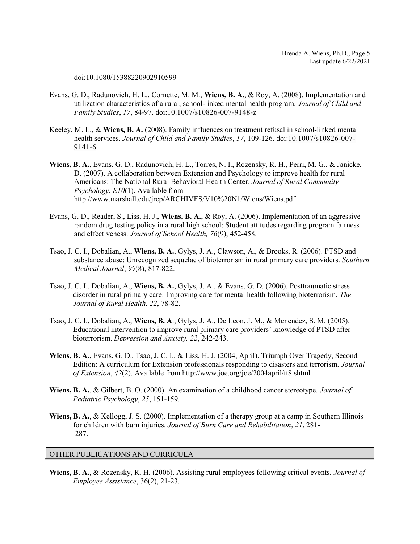doi:10.1080/15388220902910599

- Evans, G. D., Radunovich, H. L., Cornette, M. M., Wiens, B. A., & Roy, A. (2008). Implementation and utilization characteristics of a rural, school-linked mental health program. Journal of Child and Family Studies, 17, 84-97. doi:10.1007/s10826-007-9148-z
- Keeley, M. L., & Wiens, B. A. (2008). Family influences on treatment refusal in school-linked mental health services. Journal of Child and Family Studies, 17, 109-126. doi:10.1007/s10826-007-9141-6
- Wiens, B. A., Evans, G. D., Radunovich, H. L., Torres, N. I., Rozensky, R. H., Perri, M. G., & Janicke, D. (2007). A collaboration between Extension and Psychology to improve health for rural Americans: The National Rural Behavioral Health Center. Journal of Rural Community Psychology, E10(1). Available from http://www.marshall.edu/jrcp/ARCHIVES/V10%20N1/Wiens/Wiens.pdf
- Evans, G. D., Reader, S., Liss, H. J., Wiens, B. A., & Roy, A. (2006). Implementation of an aggressive random drug testing policy in a rural high school: Student attitudes regarding program fairness and effectiveness. Journal of School Health, 76(9), 452-458.
- Tsao, J. C. I., Dobalian, A., Wiens, B. A., Gylys, J. A., Clawson, A., & Brooks, R. (2006). PTSD and substance abuse: Unrecognized sequelae of bioterrorism in rural primary care providers. Southern Medical Journal, 99(8), 817-822.
- Tsao, J. C. I., Dobalian, A., Wiens, B. A., Gylys, J. A., & Evans, G. D. (2006). Posttraumatic stress disorder in rural primary care: Improving care for mental health following bioterrorism. The Journal of Rural Health, 22, 78-82.
- Tsao, J. C. I., Dobalian, A., Wiens, B. A., Gylys, J. A., De Leon, J. M., & Menendez, S. M. (2005). Educational intervention to improve rural primary care providers' knowledge of PTSD after bioterrorism. Depression and Anxiety, 22, 242-243.
- Wiens, B. A., Evans, G. D., Tsao, J. C. I., & Liss, H. J. (2004, April). Triumph Over Tragedy, Second Edition: A curriculum for Extension professionals responding to disasters and terrorism. Journal of Extension, 42(2). Available from http://www.joe.org/joe/2004april/tt8.shtml
- Wiens, B. A., & Gilbert, B. O. (2000). An examination of a childhood cancer stereotype. *Journal of* Pediatric Psychology, 25, 151-159.
- Wiens, B. A., & Kellogg, J. S. (2000). Implementation of a therapy group at a camp in Southern Illinois for children with burn injuries. Journal of Burn Care and Rehabilitation, 21, 281- 287.

## OTHER PUBLICATIONS AND CURRICULA

Wiens, B. A., & Rozensky, R. H. (2006). Assisting rural employees following critical events. Journal of Employee Assistance, 36(2), 21-23.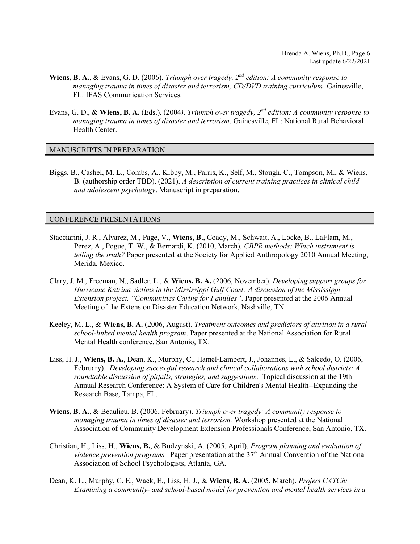- **Wiens, B. A., & Evans, G. D. (2006).** Triumph over tragedy,  $2^{nd}$  edition: A community response to managing trauma in times of disaster and terrorism, CD/DVD training curriculum. Gainesville, FL: IFAS Communication Services.
- Evans, G. D., & Wiens, B. A. (Eds.). (2004). Triumph over tragedy,  $2^{nd}$  edition: A community response to managing trauma in times of disaster and terrorism. Gainesville, FL: National Rural Behavioral Health Center.

#### MANUSCRIPTS IN PREPARATION

Biggs, B., Cashel, M. L., Combs, A., Kibby, M., Parris, K., Self, M., Stough, C., Tompson, M., & Wiens, B. (authorship order TBD). (2021). A description of current training practices in clinical child and adolescent psychology. Manuscript in preparation.

#### CONFERENCE PRESENTATIONS

- Stacciarini, J. R., Alvarez, M., Page, V., Wiens, B., Coady, M., Schwait, A., Locke, B., LaFlam, M., Perez, A., Pogue, T. W., & Bernardi, K. (2010, March). CBPR methods: Which instrument is telling the truth? Paper presented at the Society for Applied Anthropology 2010 Annual Meeting, Merida, Mexico.
- Clary, J. M., Freeman, N., Sadler, L., & Wiens, B. A. (2006, November). Developing support groups for Hurricane Katrina victims in the Mississippi Gulf Coast: A discussion of the Mississippi Extension project, "Communities Caring for Families". Paper presented at the 2006 Annual Meeting of the Extension Disaster Education Network, Nashville, TN.
- Keeley, M. L., & Wiens, B. A. (2006, August). Treatment outcomes and predictors of attrition in a rural school-linked mental health program. Paper presented at the National Association for Rural Mental Health conference, San Antonio, TX.
- Liss, H. J., Wiens, B. A., Dean, K., Murphy, C., Hamel-Lambert, J., Johannes, L., & Salcedo, O. (2006, February). Developing successful research and clinical collaborations with school districts: A roundtable discussion of pitfalls, strategies, and suggestions. Topical discussion at the 19th Annual Research Conference: A System of Care for Children's Mental Health--Expanding the Research Base, Tampa, FL.
- Wiens, B. A., & Beaulieu, B. (2006, February). Triumph over tragedy: A community response to managing trauma in times of disaster and terrorism. Workshop presented at the National Association of Community Development Extension Professionals Conference, San Antonio, TX.
- Christian, H., Liss, H., Wiens, B., & Budzynski, A. (2005, April). Program planning and evaluation of *violence prevention programs.* Paper presentation at the  $37<sup>th</sup>$  Annual Convention of the National Association of School Psychologists, Atlanta, GA.
- Dean, K. L., Murphy, C. E., Wack, E., Liss, H. J., & Wiens, B. A. (2005, March). *Project CATCh*: Examining a community- and school-based model for prevention and mental health services in a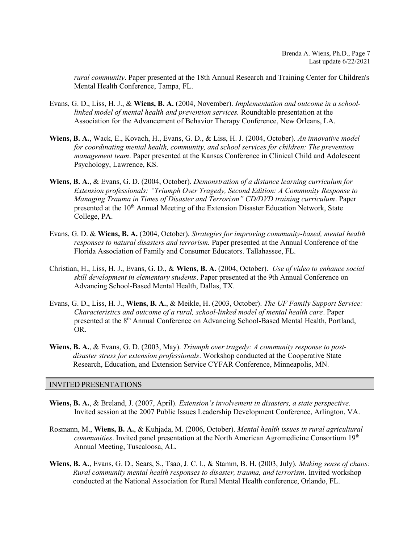rural community. Paper presented at the 18th Annual Research and Training Center for Children's Mental Health Conference, Tampa, FL.

- Evans, G. D., Liss, H. J., & Wiens, B. A. (2004, November). Implementation and outcome in a schoollinked model of mental health and prevention services. Roundtable presentation at the Association for the Advancement of Behavior Therapy Conference, New Orleans, LA.
- Wiens, B. A., Wack, E., Kovach, H., Evans, G. D., & Liss, H. J. (2004, October). An innovative model for coordinating mental health, community, and school services for children: The prevention management team. Paper presented at the Kansas Conference in Clinical Child and Adolescent Psychology, Lawrence, KS.
- Wiens, B. A., & Evans, G. D. (2004, October). Demonstration of a distance learning curriculum for Extension professionals: "Triumph Over Tragedy, Second Edition: A Community Response to Managing Trauma in Times of Disaster and Terrorism" CD/DVD training curriculum. Paper presented at the 10<sup>th</sup> Annual Meeting of the Extension Disaster Education Network, State College, PA.
- Evans, G. D. & Wiens, B. A. (2004, October). Strategies for improving community-based, mental health responses to natural disasters and terrorism. Paper presented at the Annual Conference of the Florida Association of Family and Consumer Educators. Tallahassee, FL.
- Christian, H., Liss, H. J., Evans, G. D., & Wiens, B. A. (2004, October). Use of video to enhance social skill development in elementary students. Paper presented at the 9th Annual Conference on Advancing School-Based Mental Health, Dallas, TX.
- Evans, G. D., Liss, H. J., Wiens, B. A., & Meikle, H. (2003, October). The UF Family Support Service: Characteristics and outcome of a rural, school-linked model of mental health care. Paper presented at the 8<sup>th</sup> Annual Conference on Advancing School-Based Mental Health, Portland, OR.
- Wiens, B. A., & Evans, G. D. (2003, May). Triumph over tragedy: A community response to postdisaster stress for extension professionals. Workshop conducted at the Cooperative State Research, Education, and Extension Service CYFAR Conference, Minneapolis, MN.

## INVITED PRESENTATIONS

- Wiens, B. A., & Breland, J. (2007, April). Extension's involvement in disasters, a state perspective. Invited session at the 2007 Public Issues Leadership Development Conference, Arlington, VA.
- Rosmann, M., Wiens, B. A., & Kuhjada, M. (2006, October). Mental health issues in rural agricultural communities. Invited panel presentation at the North American Agromedicine Consortium 19<sup>th</sup> Annual Meeting, Tuscaloosa, AL.
- Wiens, B. A., Evans, G. D., Sears, S., Tsao, J. C. I., & Stamm, B. H. (2003, July). Making sense of chaos: Rural community mental health responses to disaster, trauma, and terrorism. Invited workshop conducted at the National Association for Rural Mental Health conference, Orlando, FL.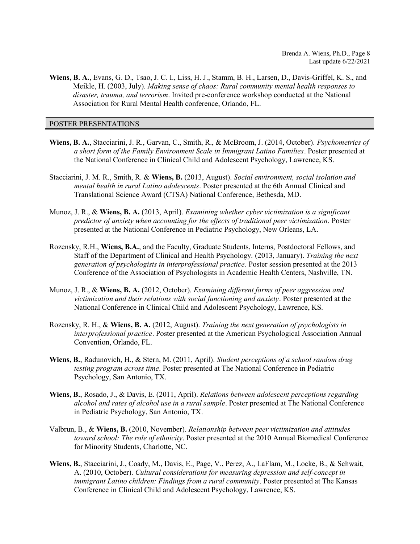Wiens, B. A., Evans, G. D., Tsao, J. C. I., Liss, H. J., Stamm, B. H., Larsen, D., Davis-Griffel, K. S., and Meikle, H. (2003, July). Making sense of chaos: Rural community mental health responses to disaster, trauma, and terrorism. Invited pre-conference workshop conducted at the National Association for Rural Mental Health conference, Orlando, FL.

## POSTER PRESENTATIONS

- Wiens, B. A., Stacciarini, J. R., Garvan, C., Smith, R., & McBroom, J. (2014, October). Psychometrics of a short form of the Family Environment Scale in Immigrant Latino Families. Poster presented at the National Conference in Clinical Child and Adolescent Psychology, Lawrence, KS.
- Stacciarini, J. M. R., Smith, R. & Wiens, B. (2013, August). Social environment, social isolation and mental health in rural Latino adolescents. Poster presented at the 6th Annual Clinical and Translational Science Award (CTSA) National Conference, Bethesda, MD.
- Munoz, J. R., & Wiens, B. A. (2013, April). Examining whether cyber victimization is a significant predictor of anxiety when accounting for the effects of traditional peer victimization. Poster presented at the National Conference in Pediatric Psychology, New Orleans, LA.
- Rozensky, R.H., Wiens, B.A., and the Faculty, Graduate Students, Interns, Postdoctoral Fellows, and Staff of the Department of Clinical and Health Psychology. (2013, January). Training the next generation of psychologists in interprofessional practice. Poster session presented at the 2013 Conference of the Association of Psychologists in Academic Health Centers, Nashville, TN.
- Munoz, J. R., & Wiens, B. A. (2012, October). Examining different forms of peer aggression and victimization and their relations with social functioning and anxiety. Poster presented at the National Conference in Clinical Child and Adolescent Psychology, Lawrence, KS.
- Rozensky, R. H., & Wiens, B. A. (2012, August). Training the next generation of psychologists in interprofessional practice. Poster presented at the American Psychological Association Annual Convention, Orlando, FL.
- Wiens, B., Radunovich, H., & Stern, M. (2011, April). Student perceptions of a school random drug testing program across time. Poster presented at The National Conference in Pediatric Psychology, San Antonio, TX.
- Wiens, B., Rosado, J., & Davis, E. (2011, April). Relations between adolescent perceptions regarding alcohol and rates of alcohol use in a rural sample. Poster presented at The National Conference in Pediatric Psychology, San Antonio, TX.
- Valbrun, B., & Wiens, B. (2010, November). Relationship between peer victimization and attitudes toward school: The role of ethnicity. Poster presented at the 2010 Annual Biomedical Conference for Minority Students, Charlotte, NC.
- Wiens, B., Stacciarini, J., Coady, M., Davis, E., Page, V., Perez, A., LaFlam, M., Locke, B., & Schwait, A. (2010, October). Cultural considerations for measuring depression and self-concept in immigrant Latino children: Findings from a rural community. Poster presented at The Kansas Conference in Clinical Child and Adolescent Psychology, Lawrence, KS.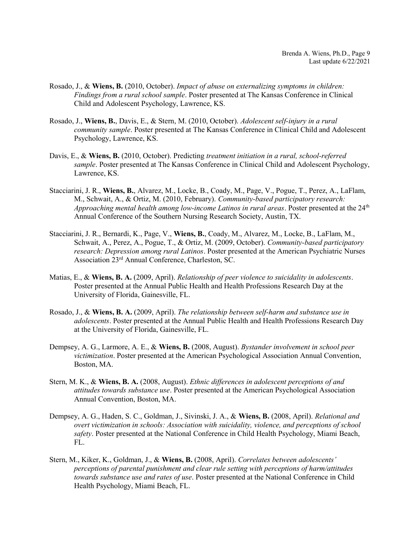- Rosado, J., & Wiens, B. (2010, October). Impact of abuse on externalizing symptoms in children: Findings from a rural school sample. Poster presented at The Kansas Conference in Clinical Child and Adolescent Psychology, Lawrence, KS.
- Rosado, J., Wiens, B., Davis, E., & Stern, M. (2010, October). Adolescent self-injury in a rural community sample. Poster presented at The Kansas Conference in Clinical Child and Adolescent Psychology, Lawrence, KS.
- Davis, E., & Wiens, B. (2010, October). Predicting treatment initiation in a rural, school-referred sample. Poster presented at The Kansas Conference in Clinical Child and Adolescent Psychology, Lawrence, KS.
- Stacciarini, J. R., Wiens, B., Alvarez, M., Locke, B., Coady, M., Page, V., Pogue, T., Perez, A., LaFlam, M., Schwait, A., & Ortiz, M. (2010, February). Community-based participatory research: Approaching mental health among low-income Latinos in rural areas. Poster presented at the  $24<sup>th</sup>$ Annual Conference of the Southern Nursing Research Society, Austin, TX.
- Stacciarini, J. R., Bernardi, K., Page, V., Wiens, B., Coady, M., Alvarez, M., Locke, B., LaFlam, M., Schwait, A., Perez, A., Pogue, T., & Ortiz, M. (2009, October). Community-based participatory research: Depression among rural Latinos. Poster presented at the American Psychiatric Nurses Association 23rd Annual Conference, Charleston, SC.
- Matias, E., & Wiens, B. A. (2009, April). Relationship of peer violence to suicidality in adolescents. Poster presented at the Annual Public Health and Health Professions Research Day at the University of Florida, Gainesville, FL.
- Rosado, J., & Wiens, B. A. (2009, April). The relationship between self-harm and substance use in adolescents. Poster presented at the Annual Public Health and Health Professions Research Day at the University of Florida, Gainesville, FL.
- Dempsey, A. G., Larmore, A. E., & Wiens, B. (2008, August). Bystander involvement in school peer victimization. Poster presented at the American Psychological Association Annual Convention, Boston, MA.
- Stern, M. K., & Wiens, B. A. (2008, August). Ethnic differences in adolescent perceptions of and attitudes towards substance use. Poster presented at the American Psychological Association Annual Convention, Boston, MA.
- Dempsey, A. G., Haden, S. C., Goldman, J., Sivinski, J. A., & Wiens, B. (2008, April). Relational and overt victimization in schools: Association with suicidality, violence, and perceptions of school safety. Poster presented at the National Conference in Child Health Psychology, Miami Beach, FL.
- Stern, M., Kiker, K., Goldman, J., & Wiens, B. (2008, April). Correlates between adolescents' perceptions of parental punishment and clear rule setting with perceptions of harm/attitudes towards substance use and rates of use. Poster presented at the National Conference in Child Health Psychology, Miami Beach, FL.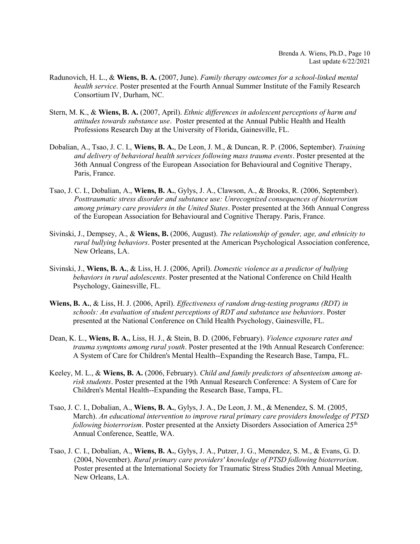- Radunovich, H. L., & Wiens, B. A. (2007, June). Family therapy outcomes for a school-linked mental health service. Poster presented at the Fourth Annual Summer Institute of the Family Research Consortium IV, Durham, NC.
- Stern, M. K., & Wiens, B. A. (2007, April). Ethnic differences in adolescent perceptions of harm and attitudes towards substance use. Poster presented at the Annual Public Health and Health Professions Research Day at the University of Florida, Gainesville, FL.
- Dobalian, A., Tsao, J. C. I., Wiens, B. A., De Leon, J. M., & Duncan, R. P. (2006, September). Training and delivery of behavioral health services following mass trauma events. Poster presented at the 36th Annual Congress of the European Association for Behavioural and Cognitive Therapy, Paris, France.
- Tsao, J. C. I., Dobalian, A., Wiens, B. A., Gylys, J. A., Clawson, A., & Brooks, R. (2006, September). Posttraumatic stress disorder and substance use: Unrecognized consequences of bioterrorism among primary care providers in the United States. Poster presented at the 36th Annual Congress of the European Association for Behavioural and Cognitive Therapy. Paris, France.
- Sivinski, J., Dempsey, A., & Wiens, B. (2006, August). The relationship of gender, age, and ethnicity to rural bullying behaviors. Poster presented at the American Psychological Association conference, New Orleans, LA.
- Sivinski, J., Wiens, B. A., & Liss, H. J. (2006, April). Domestic violence as a predictor of bullying behaviors in rural adolescents. Poster presented at the National Conference on Child Health Psychology, Gainesville, FL.
- Wiens, B. A., & Liss, H. J. (2006, April). Effectiveness of random drug-testing programs (RDT) in schools: An evaluation of student perceptions of RDT and substance use behaviors. Poster presented at the National Conference on Child Health Psychology, Gainesville, FL.
- Dean, K. L., Wiens, B. A., Liss, H. J., & Stein, B. D. (2006, February). *Violence exposure rates and* trauma symptoms among rural youth. Poster presented at the 19th Annual Research Conference: A System of Care for Children's Mental Health--Expanding the Research Base, Tampa, FL.
- Keeley, M. L., & Wiens, B. A. (2006, February). Child and family predictors of absenteeism among atrisk students. Poster presented at the 19th Annual Research Conference: A System of Care for Children's Mental Health--Expanding the Research Base, Tampa, FL.
- Tsao, J. C. I., Dobalian, A., Wiens, B. A., Gylys, J. A., De Leon, J. M., & Menendez, S. M. (2005, March). An educational intervention to improve rural primary care providers knowledge of PTSD following bioterrorism. Poster presented at the Anxiety Disorders Association of America  $25<sup>th</sup>$ Annual Conference, Seattle, WA.
- Tsao, J. C. I., Dobalian, A., Wiens, B. A., Gylys, J. A., Putzer, J. G., Menendez, S. M., & Evans, G. D. (2004, November). Rural primary care providers' knowledge of PTSD following bioterrorism. Poster presented at the International Society for Traumatic Stress Studies 20th Annual Meeting, New Orleans, LA.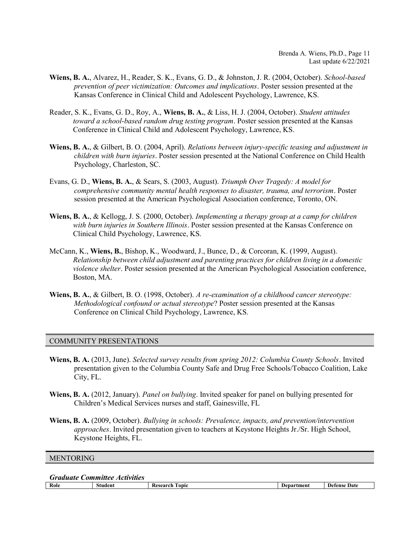- Wiens, B. A., Alvarez, H., Reader, S. K., Evans, G. D., & Johnston, J. R. (2004, October). School-based prevention of peer victimization: Outcomes and implications. Poster session presented at the Kansas Conference in Clinical Child and Adolescent Psychology, Lawrence, KS.
- Reader, S. K., Evans, G. D., Roy, A., Wiens, B. A., & Liss, H. J. (2004, October). Student attitudes toward a school-based random drug testing program. Poster session presented at the Kansas Conference in Clinical Child and Adolescent Psychology, Lawrence, KS.
- Wiens, B. A., & Gilbert, B. O. (2004, April). Relations between injury-specific teasing and adjustment in children with burn injuries. Poster session presented at the National Conference on Child Health Psychology, Charleston, SC.
- Evans, G. D., Wiens, B. A., & Sears, S. (2003, August). Triumph Over Tragedy: A model for comprehensive community mental health responses to disaster, trauma, and terrorism. Poster session presented at the American Psychological Association conference, Toronto, ON.
- Wiens, B. A., & Kellogg, J. S. (2000, October). Implementing a therapy group at a camp for children with burn injuries in Southern Illinois. Poster session presented at the Kansas Conference on Clinical Child Psychology, Lawrence, KS.
- McCann, K., Wiens, B., Bishop, K., Woodward, J., Bunce, D., & Corcoran, K. (1999, August). Relationship between child adjustment and parenting practices for children living in a domestic violence shelter. Poster session presented at the American Psychological Association conference, Boston, MA.
- Wiens, B. A., & Gilbert, B. O. (1998, October). A re-examination of a childhood cancer stereotype: Methodological confound or actual stereotype? Poster session presented at the Kansas Conference on Clinical Child Psychology, Lawrence, KS.

## COMMUNITY PRESENTATIONS

- Wiens, B. A. (2013, June). Selected survey results from spring 2012: Columbia County Schools. Invited presentation given to the Columbia County Safe and Drug Free Schools/Tobacco Coalition, Lake City, FL.
- Wiens, B. A. (2012, January). Panel on bullying. Invited speaker for panel on bullying presented for Children's Medical Services nurses and staff, Gainesville, FL
- Wiens, B. A. (2009, October). Bullying in schools: Prevalence, impacts, and prevention/intervention approaches. Invited presentation given to teachers at Keystone Heights Jr./Sr. High School, Keystone Heights, FL.

#### **MENTORING**

Graduate Committee Activities

Role Student Research Topic Department Defense Date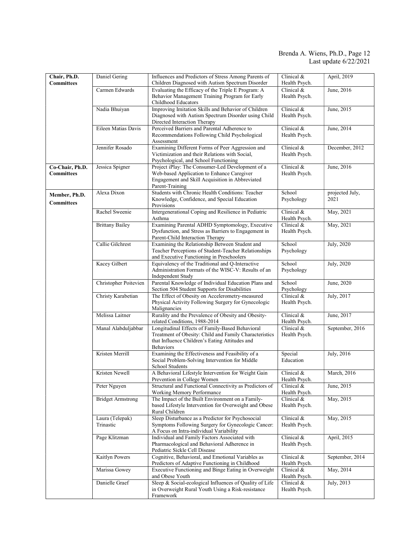#### Brenda A. Wiens, Ph.D., Page 12 Last update 6/22/2021

| Chair, Ph.D.<br><b>Committees</b>    | Daniel Gering                | Influences and Predictors of Stress Among Parents of<br>Children Diagnosed with Autism Spectrum Disorder                                                                        | Clinical &<br>Health Psych.   | April, 2019             |
|--------------------------------------|------------------------------|---------------------------------------------------------------------------------------------------------------------------------------------------------------------------------|-------------------------------|-------------------------|
|                                      | Carmen Edwards               | Evaluating the Efficacy of the Triple E Program: A<br>Behavior Management Training Program for Early<br>Childhood Educators                                                     | Clinical &<br>Health Psych.   | June, 2016              |
|                                      | Nadia Bhuiyan                | Improving Imitation Skills and Behavior of Children<br>Diagnosed with Autism Spectrum Disorder using Child<br>Directed Interaction Therapy                                      | Clinical &<br>Health Psych.   | June, 2015              |
|                                      | Eileen Matias Davis          | Perceived Barriers and Parental Adherence to<br>Recommendations Following Child Psychological<br>Assessment                                                                     | Clinical &<br>Health Psych.   | June, 2014              |
|                                      | Jennifer Rosado              | Examining Different Forms of Peer Aggression and<br>Victimization and their Relations with Social.<br>Psychological, and School Functioning                                     | Clinical $&$<br>Health Psych. | December, 2012          |
| Co-Chair, Ph.D.<br><b>Committees</b> | Jessica Spigner              | Project iPlay: The Consumer-Led Development of a<br>Web-based Application to Enhance Caregiver<br>Engagement and Skill Acquisition in Abbreviated<br>Parent-Training            | Clinical &<br>Health Psych.   | June, 2016              |
| Member, Ph.D.<br><b>Committees</b>   | Alexa Dixon                  | Students with Chronic Health Conditions: Teacher<br>Knowledge, Confidence, and Special Education<br>Provisions                                                                  | School<br>Psychology          | projected July,<br>2021 |
|                                      | Rachel Sweenie               | Intergenerational Coping and Resilience in Pediatric<br>Asthma                                                                                                                  | Clinical &<br>Health Psych.   | May, 2021               |
|                                      | <b>Brittany Bailey</b>       | Examining Parental ADHD Symptomology, Executive<br>Dysfunction, and Stress as Barriers to Engagement in<br>Parent-Child Interaction Therapy                                     | Clinical &<br>Health Psych.   | May, 2021               |
|                                      | Callie Gilchrest             | Examining the Relationship Between Student and<br>Teacher Perceptions of Student-Teacher Relationships<br>and Executive Functioning in Preschoolers                             | School<br>Psychology          | July, 2020              |
|                                      | Kacey Gilbert                | Equivalency of the Traditional and Q-Interactive<br>Administration Formats of the WISC-V: Results of an<br>Independent Study                                                    | School<br>Psychology          | July, 2020              |
|                                      | Christopher Poitevien        | Parental Knowledge of Individual Education Plans and<br>Section 504 Student Supports for Disabilities                                                                           | School<br>Psychology          | June, 2020              |
|                                      | Christy Karabetian           | The Effect of Obesity on Accelerometry-measured<br>Physical Activity Following Surgery for Gynecologic<br>Malignancies                                                          | Clinical $&$<br>Health Psych. | July, 2017              |
|                                      | Melissa Laitner              | Rurality and the Prevalence of Obesity and Obesity-<br>related Conditions, 1988-2014                                                                                            | Clinical &<br>Health Psych.   | June, 2017              |
|                                      | Manal Alabduljabbar          | Longitudinal Effects of Family-Based Behavioral<br>Treatment of Obesity: Child and Family Characteristics<br>that Influence Children's Eating Attitudes and<br><b>Behaviors</b> | Clinical &<br>Health Psych.   | September, 2016         |
|                                      | Kristen Merrill              | Examining the Effectiveness and Feasibility of a<br>Social Problem-Solving Intervention for Middle<br>School Students                                                           | Special<br>Education          | July, 2016              |
|                                      | Kristen Newell               | A Behavioral Lifestyle Intervention for Weight Gain<br>Prevention in College Women                                                                                              | Clinical $&$<br>Health Psych. | March, 2016             |
|                                      | Peter Nguyen                 | Structural and Functional Connectivity as Predictors of<br>Working Memory Performance                                                                                           | Clinical &<br>Health Psych.   | June, 2015              |
|                                      | <b>Bridget Armstrong</b>     | The Impact of the Built Environment on a Family-<br>based Lifestyle Intervention for Overweight and Obese<br>Rural Children                                                     | Clinical &<br>Health Psych.   | May, 2015               |
|                                      | Laura (Telepak)<br>Trinastic | Sleep Disturbance as a Predictor for Psychosocial<br>Symptoms Following Surgery for Gynecologic Cancer:<br>A Focus on Intra-individual Variability                              | Clinical &<br>Health Psych.   | May, 2015               |
|                                      | Page Klitzman                | Individual and Family Factors Associated with<br>Pharmacological and Behavioral Adherence in<br>Pediatric Sickle Cell Disease                                                   | Clinical &<br>Health Psych.   | April, 2015             |
|                                      | Kaitlyn Powers               | Cognitive, Behavioral, and Emotional Variables as<br>Predictors of Adaptive Functioning in Childhood                                                                            | Clinical &<br>Health Psych.   | September, 2014         |
|                                      | Marissa Gowey                | Executive Functioning and Binge Eating in Overweight<br>and Obese Youth                                                                                                         | Clinical &<br>Health Psych.   | May, 2014               |
|                                      | Danielle Graef               | Sleep & Social-ecological Influences of Quality of Life<br>in Overweight Rural Youth Using a Risk-resistance<br>Framework                                                       | Clinical &<br>Health Psych.   | July, 2013              |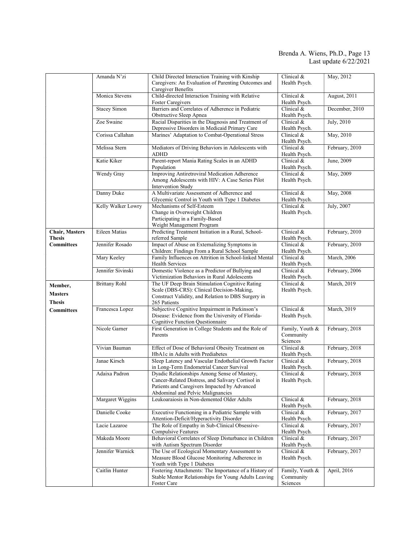#### Brenda A. Wiens, Ph.D., Page 13 Last update 6/22/2021

|                                            | Amanda N'zi          | Child Directed Interaction Training with Kinship<br>Caregivers: An Evaluation of Parenting Outcomes and<br>Caregiver Benefits                                                          | Clinical &<br>Health Psych.              | May, 2012      |
|--------------------------------------------|----------------------|----------------------------------------------------------------------------------------------------------------------------------------------------------------------------------------|------------------------------------------|----------------|
|                                            | Monica Stevens       | Child-directed Interaction Training with Relative<br><b>Foster Caregivers</b>                                                                                                          | Clinical $&$<br>Health Psych.            | August, 2011   |
|                                            | <b>Stacey Simon</b>  | Barriers and Correlates of Adherence in Pediatric<br>Obstructive Sleep Apnea                                                                                                           | Clinical &<br>Health Psych.              | December, 2010 |
|                                            | Zoe Swaine           | Racial Disparities in the Diagnosis and Treatment of<br>Depressive Disorders in Medicaid Primary Care                                                                                  | Clinical $&$<br>Health Psych.            | July, 2010     |
|                                            | Corissa Callahan     | Marines' Adaptation to Combat-Operational Stress                                                                                                                                       | Clinical $&$<br>Health Psych.            | May, 2010      |
|                                            | Melissa Stern        | Mediators of Driving Behaviors in Adolescents with<br><b>ADHD</b>                                                                                                                      | Clinical $&$<br>Health Psych.            | February, 2010 |
|                                            | Katie Kiker          | Parent-report Mania Rating Scales in an ADHD<br>Population                                                                                                                             | Clinical &<br>Health Psych.              | June, 2009     |
|                                            | Wendy Gray           | Improving Antiretroviral Medication Adherence<br>Among Adolescents with HIV: A Case Series Pilot<br>Intervention Study                                                                 | Clinical $&$<br>Health Psych.            | May, 2009      |
|                                            | Danny Duke           | A Multivariate Assessment of Adherence and<br>Glycemic Control in Youth with Type 1 Diabetes                                                                                           | Clinical $&$<br>Health Psych.            | May, 2008      |
|                                            | Kelly Walker Lowry   | Mechanisms of Self-Esteem<br>Change in Overweight Children<br>Participating in a Family-Based<br>Weight Management Program                                                             | Clinical $&$<br>Health Psych.            | July, 2007     |
| <b>Chair, Masters</b><br><b>Thesis</b>     | Eileen Matias        | Predicting Treatment Initiation in a Rural, School-<br>referred Sample                                                                                                                 | Clinical $&$<br>Health Psych.            | February, 2010 |
| <b>Committees</b>                          | Jennifer Rosado      | Impact of Abuse on Externalizing Symptoms in<br>Children: Findings From a Rural School Sample                                                                                          | Clinical $&$<br>Health Psych.            | February, 2010 |
|                                            | Mary Keeley          | Family Influences on Attrition in School-linked Mental<br>Health Services                                                                                                              | Clinical &<br>Health Psych.              | March, 2006    |
|                                            | Jennifer Sivinski    | Domestic Violence as a Predictor of Bullying and<br>Victimization Behaviors in Rural Adolescents                                                                                       | Clinical &<br>Health Psych.              | February, 2006 |
| Member,<br><b>Masters</b><br><b>Thesis</b> | <b>Brittany Rohl</b> | The UF Deep Brain Stimulation Cognitive Rating<br>Scale (DBS-CRS): Clinical Decision-Making,<br>Construct Validity, and Relation to DBS Surgery in<br>265 Patients                     | Clinical &<br>Health Psych.              | March, 2019    |
| <b>Committees</b>                          | Francesca Lopez      | Subjective Cognitive Impairment in Parkinson's<br>Disease: Evidence from the University of Florida-<br>Cognitive Function Questionnaire                                                | Clinical &<br>Health Psych.              | March, 2019    |
|                                            | Nicole Garner        | First Generation in College Students and the Role of<br>Parents                                                                                                                        | Family, Youth &<br>Community<br>Sciences | February, 2018 |
|                                            | Vivian Bauman        | Effect of Dose of Behavioral Obesity Treatment on<br>HbA1c in Adults with Prediabetes                                                                                                  | Clinical &<br>Health Psych.              | February, 2018 |
|                                            | Janae Kirsch         | Sleep Latency and Vascular Endothelial Growth Factor<br>in Long-Term Endometrial Cancer Survival                                                                                       | Clinical $&$<br>Health Psych.            | February, 2018 |
|                                            | Adaixa Padron        | Dyadic Relationships Among Sense of Mastery,<br>Cancer-Related Distress, and Salivary Cortisol in<br>Patients and Caregivers Impacted by Advanced<br>Abdominal and Pelvic Malignancies | Clinical &<br>Health Psych.              | February, 2018 |
|                                            | Margaret Wiggins     | Leukoaraiosis in Non-demented Older Adults                                                                                                                                             | Clinical &<br>Health Psych.              | February, 2018 |
|                                            | Danielle Cooke       | Executive Functioning in a Pediatric Sample with<br>Attention-Deficit/Hyperactivity Disorder                                                                                           | Clinical &<br>Health Psych.              | February, 2017 |
|                                            | Lacie Lazaroe        | The Role of Empathy in Sub-Clinical Obsessive-<br>Compulsive Features                                                                                                                  | Clinical &<br>Health Psych.              | February, 2017 |
|                                            | Makeda Moore         | Behavioral Correlates of Sleep Disturbance in Children<br>with Autism Spectrum Disorder                                                                                                | Clinical &<br>Health Psych.              | February, 2017 |
|                                            | Jennifer Warnick     | The Use of Ecological Momentary Assessment to<br>Measure Blood Glucose Monitoring Adherence in<br>Youth with Type 1 Diabetes                                                           | Clinical &<br>Health Psych.              | February, 2017 |
|                                            | Caitlin Hunter       | Fostering Attachments: The Importance of a History of<br>Stable Mentor Relationships for Young Adults Leaving<br>Foster Care                                                           | Family, Youth &<br>Community<br>Sciences | April, 2016    |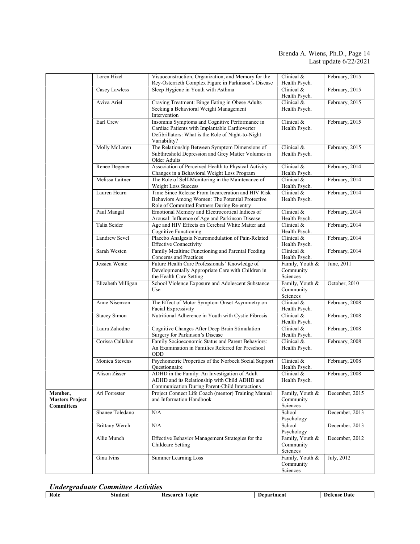## Brenda A. Wiens, Ph.D., Page 14 Last update 6/22/2021

|                                                        | Loren Hizel           | Visuoconstruction, Organization, and Memory for the<br>Rey-Osterrieth Complex Figure in Parkinson's Disease                                                            | Clinical &<br>Health Psych.              | February, 2015 |
|--------------------------------------------------------|-----------------------|------------------------------------------------------------------------------------------------------------------------------------------------------------------------|------------------------------------------|----------------|
|                                                        | Casey Lawless         | Sleep Hygiene in Youth with Asthma                                                                                                                                     | Clinical &<br>Health Psych.              | February, 2015 |
|                                                        | Aviva Ariel           | Craving Treatment: Binge Eating in Obese Adults<br>Seeking a Behavioral Weight Management<br>Intervention                                                              | Clinical $&$<br>Health Psych.            | February, 2015 |
|                                                        | Earl Crew             | Insomnia Symptoms and Cognitive Performance in<br>Cardiac Patients with Implantable Cardioverter<br>Defibrillators: What is the Role of Night-to-Night<br>Variability? | Clinical &<br>Health Psych.              | February, 2015 |
|                                                        | Molly McLaren         | The Relationship Between Symptom Dimensions of<br>Subthreshold Depression and Grey Matter Volumes in<br>Older Adults                                                   | Clinical &<br>Health Psych.              | February, 2015 |
|                                                        | Renee Degener         | Association of Perceived Health to Physical Activity<br>Changes in a Behavioral Weight Loss Program                                                                    | Clinical &<br>Health Psych.              | February, 2014 |
|                                                        | Melissa Laitner       | The Role of Self-Monitoring in the Maintenance of<br><b>Weight Loss Success</b>                                                                                        | Clinical &<br>Health Psych.              | February, 2014 |
|                                                        | Lauren Hearn          | Time Since Release From Incarceration and HIV Risk<br>Behaviors Among Women: The Potential Protective<br>Role of Committed Partners During Re-entry                    | Clinical &<br>Health Psych.              | February, 2014 |
|                                                        | Paul Mangal           | Emotional Memory and Electrocortical Indices of<br>Arousal: Influence of Age and Parkinson Disease                                                                     | Clinical $&$<br>Health Psych.            | February, 2014 |
|                                                        | Talia Seider          | Age and HIV Effects on Cerebral White Matter and<br><b>Cognitive Functioning</b>                                                                                       | Clinical $&$<br>Health Psych.            | February, 2014 |
|                                                        | Landrew Sevel         | Placebo Analgesia Neuromodulation of Pain-Related<br><b>Effective Connectivity</b>                                                                                     | Clinical &<br>Health Psych.              | February, 2014 |
|                                                        | Sarah Westen          | Family Mealtime Functioning and Parental Feeding<br>Concerns and Practices                                                                                             | Clinical $&$<br>Health Psych.            | February, 2014 |
|                                                        | Jessica Wente         | Future Health Care Professionals' Knowledge of<br>Developmentally Appropriate Care with Children in<br>the Health Care Setting                                         | Family, Youth &<br>Community<br>Sciences | June, 2011     |
|                                                        | Elizabeth Milligan    | School Violence Exposure and Adolescent Substance<br>Use                                                                                                               | Family, Youth &<br>Community<br>Sciences | October, 2010  |
|                                                        | Anne Nisenzon         | The Effect of Motor Symptom Onset Asymmetry on<br>Facial Expressivity                                                                                                  | Clinical &<br>Health Psych.              | February, 2008 |
|                                                        | <b>Stacey Simon</b>   | Nutritional Adherence in Youth with Cystic Fibrosis                                                                                                                    | Clinical &<br>Health Psych.              | February, 2008 |
|                                                        | Laura Zahodne         | Cognitive Changes After Deep Brain Stimulation<br>Surgery for Parkinson's Disease                                                                                      | Clinical &<br>Health Psych.              | February, 2008 |
|                                                        | Corissa Callahan      | Family Socioeconomic Status and Parent Behaviors:<br>An Examination in Families Referred for Preschool<br><b>ODD</b>                                                   | Clinical &<br>Health Psych.              | February, 2008 |
|                                                        | Monica Stevens        | Psychometric Properties of the Norbeck Social Support<br>Questionnaire                                                                                                 | Clinical &<br>Health Psych.              | February, 2008 |
|                                                        | Alison Zisser         | ADHD in the Family: An Investigation of Adult<br>ADHD and its Relationship with Child ADHD and<br>Communication During Parent-Child Interactions                       | Clinical $&$<br>Health Psych.            | February, 2008 |
| Member,<br><b>Masters Project</b><br><b>Committees</b> | Ari Forrester         | Project Connect Life Coach (mentor) Training Manual<br>and Information Handbook                                                                                        | Family, Youth &<br>Community<br>Sciences | December, 2015 |
|                                                        | Shanee Toledano       | N/A                                                                                                                                                                    | School<br>Psychology                     | December, 2013 |
|                                                        | <b>Brittany Werch</b> | N/A                                                                                                                                                                    | School<br>Psychology                     | December, 2013 |
|                                                        | Allie Munch           | Effective Behavior Management Strategies for the<br>Childcare Setting                                                                                                  | Family, Youth &<br>Community<br>Sciences | December, 2012 |
|                                                        | Gina Ivins            | Summer Learning Loss                                                                                                                                                   | Family, Youth &<br>Community<br>Sciences | July, 2012     |

# Undergraduate Committee Activities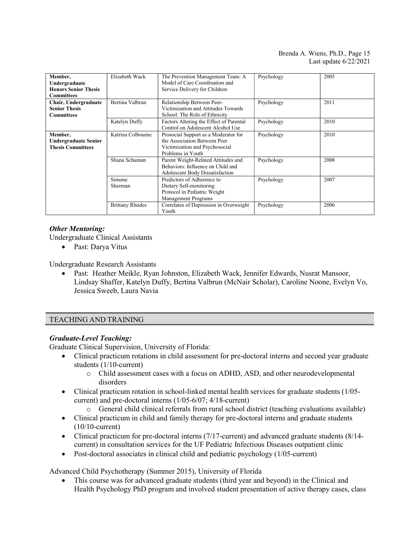## Brenda A. Wiens, Ph.D., Page 15 Last update 6/22/2021

| Member.<br>Undergraduate<br><b>Honors Senior Thesis</b><br><b>Committees</b> | Elizabeth Wack           | The Prevention Management Team: A<br>Model of Care Coordination and<br>Service Delivery for Children                        | Psychology | 2005 |
|------------------------------------------------------------------------------|--------------------------|-----------------------------------------------------------------------------------------------------------------------------|------------|------|
| Chair, Undergraduate<br><b>Senior Thesis</b><br><b>Committees</b>            | Bertina Valbrun          | Relationship Between Peer-<br>Victimization and Attitudes Towards<br>School: The Role of Ethnicity                          | Psychology | 2011 |
|                                                                              | Katelyn Duffy            | Factors Altering the Effect of Parental<br>Control on Adolescent Alcohol Use                                                | Psychology | 2010 |
| Member,<br><b>Undergraduate Senior</b><br><b>Thesis Committees</b>           | Katrina Colbourne        | Prosocial Support as a Moderator for<br>the Association Between Peer<br>Victimization and Psychosocial<br>Problems in Youth | Psychology | 2010 |
|                                                                              | Shana Schuman            | Parent Weight-Related Attitudes and<br>Behaviors: Influence on Child and<br><b>Adolescent Body Dissatisfaction</b>          | Psychology | 2008 |
|                                                                              | Simone<br><b>Sherman</b> | Predictors of Adherence to<br>Dietary Self-monitoring<br>Protocol in Pediatric Weight<br><b>Management Programs</b>         | Psychology | 2007 |
|                                                                              | <b>Brittany Rhodes</b>   | Correlates of Depression in Overweight<br>Youth                                                                             | Psychology | 2006 |

# Other Mentoring:

Undergraduate Clinical Assistants

Past: Darya Vitus

Undergraduate Research Assistants

 Past: Heather Meikle, Ryan Johnston, Elizabeth Wack, Jennifer Edwards, Nusrat Mansoor, Lindsay Shaffer, Katelyn Duffy, Bertina Valbrun (McNair Scholar), Caroline Noone, Evelyn Vo, Jessica Sweeb, Laura Navia

# TEACHING AND TRAINING

# Graduate-Level Teaching:

Graduate Clinical Supervision, University of Florida:

- Clinical practicum rotations in child assessment for pre-doctoral interns and second year graduate students (1/10-current)
	- o Child assessment cases with a focus on ADHD, ASD, and other neurodevelopmental disorders
- Clinical practicum rotation in school-linked mental health services for graduate students (1/05current) and pre-doctoral interns (1/05-6/07; 4/18-current)
	- o General child clinical referrals from rural school district (teaching evaluations available)
- Clinical practicum in child and family therapy for pre-doctoral interns and graduate students (10/10-current)
- Clinical practicum for pre-doctoral interns (7/17-current) and advanced graduate students (8/14 current) in consultation services for the UF Pediatric Infectious Diseases outpatient clinic
- Post-doctoral associates in clinical child and pediatric psychology (1/05-current)

Advanced Child Psychotherapy (Summer 2015), University of Florida

 This course was for advanced graduate students (third year and beyond) in the Clinical and Health Psychology PhD program and involved student presentation of active therapy cases, class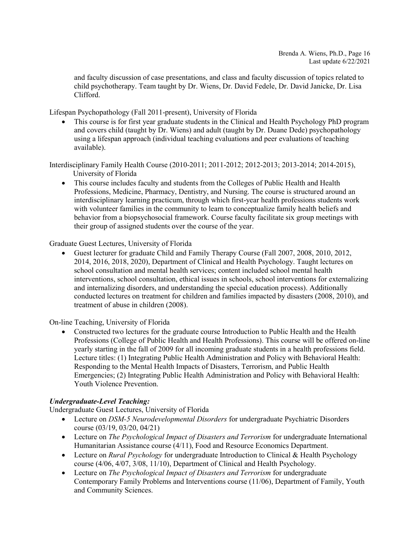and faculty discussion of case presentations, and class and faculty discussion of topics related to child psychotherapy. Team taught by Dr. Wiens, Dr. David Fedele, Dr. David Janicke, Dr. Lisa Clifford.

Lifespan Psychopathology (Fall 2011-present), University of Florida

 This course is for first year graduate students in the Clinical and Health Psychology PhD program and covers child (taught by Dr. Wiens) and adult (taught by Dr. Duane Dede) psychopathology using a lifespan approach (individual teaching evaluations and peer evaluations of teaching available).

Interdisciplinary Family Health Course (2010-2011; 2011-2012; 2012-2013; 2013-2014; 2014-2015), University of Florida

 This course includes faculty and students from the Colleges of Public Health and Health Professions, Medicine, Pharmacy, Dentistry, and Nursing. The course is structured around an interdisciplinary learning practicum, through which first-year health professions students work with volunteer families in the community to learn to conceptualize family health beliefs and behavior from a biopsychosocial framework. Course faculty facilitate six group meetings with their group of assigned students over the course of the year.

# Graduate Guest Lectures, University of Florida

 Guest lecturer for graduate Child and Family Therapy Course (Fall 2007, 2008, 2010, 2012, 2014, 2016, 2018, 2020), Department of Clinical and Health Psychology. Taught lectures on school consultation and mental health services; content included school mental health interventions, school consultation, ethical issues in schools, school interventions for externalizing and internalizing disorders, and understanding the special education process). Additionally conducted lectures on treatment for children and families impacted by disasters (2008, 2010), and treatment of abuse in children (2008).

On-line Teaching, University of Florida

 Constructed two lectures for the graduate course Introduction to Public Health and the Health Professions (College of Public Health and Health Professions). This course will be offered on-line yearly starting in the fall of 2009 for all incoming graduate students in a health professions field. Lecture titles: (1) Integrating Public Health Administration and Policy with Behavioral Health: Responding to the Mental Health Impacts of Disasters, Terrorism, and Public Health Emergencies; (2) Integrating Public Health Administration and Policy with Behavioral Health: Youth Violence Prevention.

# Undergraduate-Level Teaching:

Undergraduate Guest Lectures, University of Florida

- Lecture on DSM-5 Neurodevelopmental Disorders for undergraduate Psychiatric Disorders course (03/19, 03/20, 04/21)
- Lecture on *The Psychological Impact of Disasters and Terrorism* for undergraduate International Humanitarian Assistance course (4/11), Food and Resource Economics Department.
- Lecture on *Rural Psychology* for undergraduate Introduction to Clinical & Health Psychology course (4/06, 4/07, 3/08, 11/10), Department of Clinical and Health Psychology.
- Lecture on The Psychological Impact of Disasters and Terrorism for undergraduate Contemporary Family Problems and Interventions course (11/06), Department of Family, Youth and Community Sciences.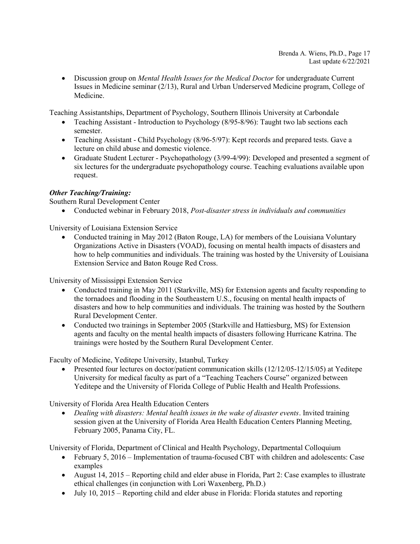• Discussion group on *Mental Health Issues for the Medical Doctor* for undergraduate Current Issues in Medicine seminar (2/13), Rural and Urban Underserved Medicine program, College of Medicine.

Teaching Assistantships, Department of Psychology, Southern Illinois University at Carbondale

- Teaching Assistant Introduction to Psychology (8/95-8/96): Taught two lab sections each semester.
- Teaching Assistant Child Psychology (8/96-5/97): Kept records and prepared tests. Gave a lecture on child abuse and domestic violence.
- Graduate Student Lecturer Psychopathology (3/99-4/99): Developed and presented a segment of six lectures for the undergraduate psychopathology course. Teaching evaluations available upon request.

# Other Teaching/Training:

Southern Rural Development Center

• Conducted webinar in February 2018, Post-disaster stress in individuals and communities

University of Louisiana Extension Service

• Conducted training in May 2012 (Baton Rouge, LA) for members of the Louisiana Voluntary Organizations Active in Disasters (VOAD), focusing on mental health impacts of disasters and how to help communities and individuals. The training was hosted by the University of Louisiana Extension Service and Baton Rouge Red Cross.

University of Mississippi Extension Service

- Conducted training in May 2011 (Starkville, MS) for Extension agents and faculty responding to the tornadoes and flooding in the Southeastern U.S., focusing on mental health impacts of disasters and how to help communities and individuals. The training was hosted by the Southern Rural Development Center.
- Conducted two trainings in September 2005 (Starkville and Hattiesburg, MS) for Extension agents and faculty on the mental health impacts of disasters following Hurricane Katrina. The trainings were hosted by the Southern Rural Development Center.

Faculty of Medicine, Yeditepe University, Istanbul, Turkey

 Presented four lectures on doctor/patient communication skills (12/12/05-12/15/05) at Yeditepe University for medical faculty as part of a "Teaching Teachers Course" organized between Yeditepe and the University of Florida College of Public Health and Health Professions.

University of Florida Area Health Education Centers

• Dealing with disasters: Mental health issues in the wake of disaster events. Invited training session given at the University of Florida Area Health Education Centers Planning Meeting, February 2005, Panama City, FL.

University of Florida, Department of Clinical and Health Psychology, Departmental Colloquium

- February 5, 2016 Implementation of trauma-focused CBT with children and adolescents: Case examples
- August 14, 2015 Reporting child and elder abuse in Florida, Part 2: Case examples to illustrate ethical challenges (in conjunction with Lori Waxenberg, Ph.D.)
- $\bullet$  July 10, 2015 Reporting child and elder abuse in Florida: Florida statutes and reporting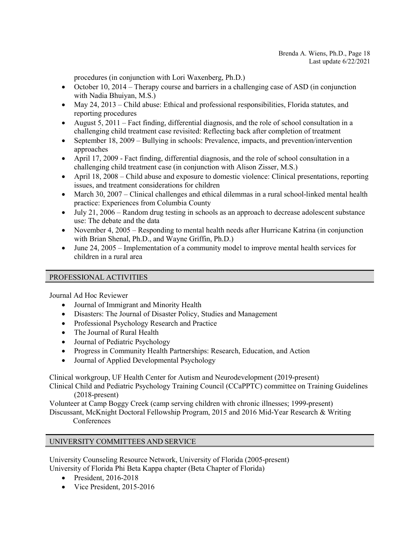procedures (in conjunction with Lori Waxenberg, Ph.D.)

- October 10, 2014 Therapy course and barriers in a challenging case of ASD (in conjunction with Nadia Bhuiyan, M.S.)
- May 24, 2013 Child abuse: Ethical and professional responsibilities, Florida statutes, and reporting procedures
- August 5, 2011 Fact finding, differential diagnosis, and the role of school consultation in a challenging child treatment case revisited: Reflecting back after completion of treatment
- September 18, 2009 Bullying in schools: Prevalence, impacts, and prevention/intervention approaches
- April 17, 2009 Fact finding, differential diagnosis, and the role of school consultation in a challenging child treatment case (in conjunction with Alison Zisser, M.S.)
- April 18, 2008 Child abuse and exposure to domestic violence: Clinical presentations, reporting issues, and treatment considerations for children
- March 30,  $2007 -$  Clinical challenges and ethical dilemmas in a rural school-linked mental health practice: Experiences from Columbia County
- July 21, 2006 Random drug testing in schools as an approach to decrease adolescent substance use: The debate and the data
- November 4, 2005 Responding to mental health needs after Hurricane Katrina (in conjunction with Brian Shenal, Ph.D., and Wayne Griffin, Ph.D.)
- June 24, 2005 Implementation of a community model to improve mental health services for children in a rural area

# PROFESSIONAL ACTIVITIES

Journal Ad Hoc Reviewer

- Journal of Immigrant and Minority Health
- Disasters: The Journal of Disaster Policy, Studies and Management
- Professional Psychology Research and Practice
- The Journal of Rural Health
- Journal of Pediatric Psychology
- Progress in Community Health Partnerships: Research, Education, and Action
- Journal of Applied Developmental Psychology

Clinical workgroup, UF Health Center for Autism and Neurodevelopment (2019-present)

Clinical Child and Pediatric Psychology Training Council (CCaPPTC) committee on Training Guidelines (2018-present)

Volunteer at Camp Boggy Creek (camp serving children with chronic illnesses; 1999-present)

Discussant, McKnight Doctoral Fellowship Program, 2015 and 2016 Mid-Year Research & Writing **Conferences** 

# UNIVERSITY COMMITTEES AND SERVICE

University Counseling Resource Network, University of Florida (2005-present) University of Florida Phi Beta Kappa chapter (Beta Chapter of Florida)

- President, 2016-2018
- Vice President, 2015-2016